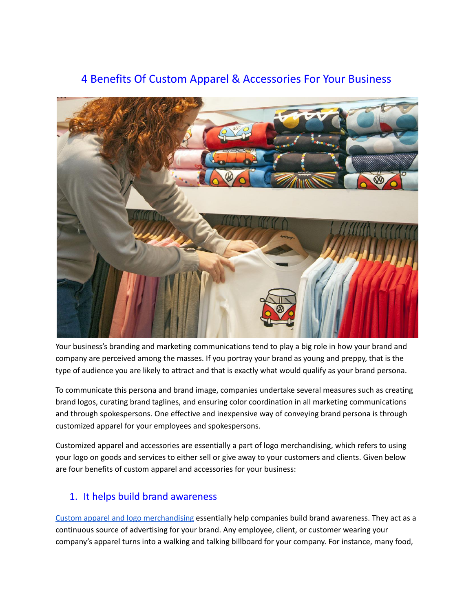# 4 Benefits Of Custom Apparel & Accessories For Your Business



Your business's branding and marketing communications tend to play a big role in how your brand and company are perceived among the masses. If you portray your brand as young and preppy, that is the type of audience you are likely to attract and that is exactly what would qualify as your brand persona.

To communicate this persona and brand image, companies undertake several measures such as creating brand logos, curating brand taglines, and ensuring color coordination in all marketing communications and through spokespersons. One effective and inexpensive way of conveying brand persona is through customized apparel for your employees and spokespersons.

Customized apparel and accessories are essentially a part of logo merchandising, which refers to using your logo on goods and services to either sell or give away to your customers and clients. Given below are four benefits of custom apparel and accessories for your business:

## 1. It helps build brand awareness

Custom apparel and logo [merchandising](https://www.forbes.com/sites/kaleighmoore/2020/09/10/branded-merchandise-helping-retailers-through-uncertain-times/amp/) essentially help companies build brand awareness. They act as a continuous source of advertising for your brand. Any employee, client, or customer wearing your company's apparel turns into a walking and talking billboard for your company. For instance, many food,